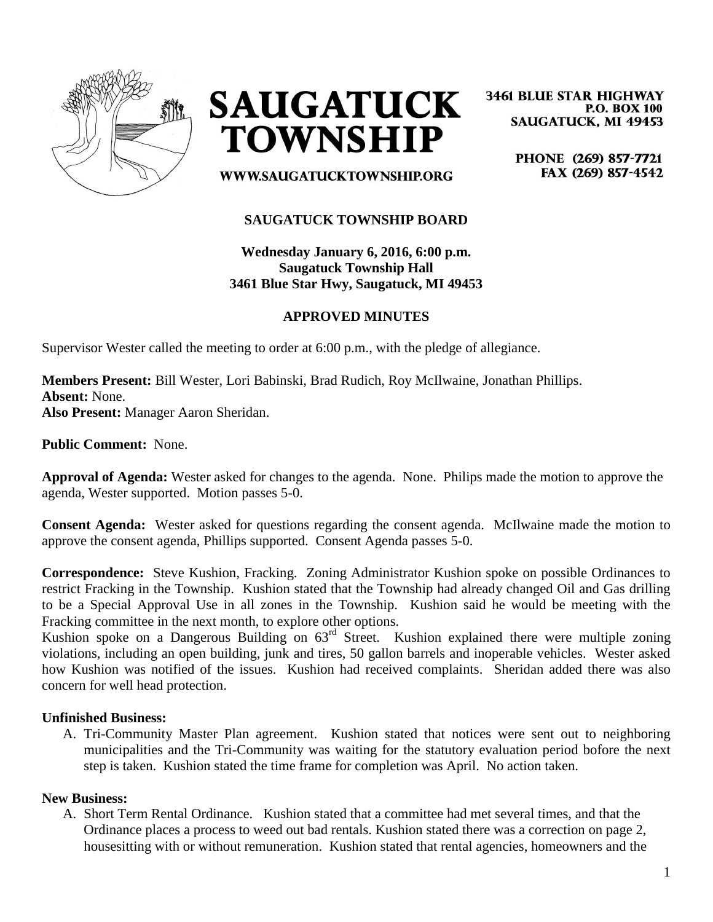



**3461 BLUE STAR HIGHWAY P.O. BOX 100 SAUGATUCK, MI 49453** 

> PHONE (269) 857-7721 FAX (269) 857-4542

**WWW.SAUGATUCKTOWNSHIP.ORG** 

# **SAUGATUCK TOWNSHIP BOARD**

**Wednesday January 6, 2016, 6:00 p.m. Saugatuck Township Hall 3461 Blue Star Hwy, Saugatuck, MI 49453**

### **APPROVED MINUTES**

Supervisor Wester called the meeting to order at 6:00 p.m., with the pledge of allegiance.

**Members Present:** Bill Wester, Lori Babinski, Brad Rudich, Roy McIlwaine, Jonathan Phillips. **Absent:** None. **Also Present:** Manager Aaron Sheridan.

**Public Comment:** None.

**Approval of Agenda:** Wester asked for changes to the agenda. None. Philips made the motion to approve the agenda, Wester supported. Motion passes 5-0.

**Consent Agenda:** Wester asked for questions regarding the consent agenda. McIlwaine made the motion to approve the consent agenda, Phillips supported. Consent Agenda passes 5-0.

**Correspondence:** Steve Kushion, Fracking. Zoning Administrator Kushion spoke on possible Ordinances to restrict Fracking in the Township. Kushion stated that the Township had already changed Oil and Gas drilling to be a Special Approval Use in all zones in the Township. Kushion said he would be meeting with the Fracking committee in the next month, to explore other options.

Kushion spoke on a Dangerous Building on 63rd Street. Kushion explained there were multiple zoning violations, including an open building, junk and tires, 50 gallon barrels and inoperable vehicles. Wester asked how Kushion was notified of the issues. Kushion had received complaints. Sheridan added there was also concern for well head protection.

### **Unfinished Business:**

A. Tri-Community Master Plan agreement. Kushion stated that notices were sent out to neighboring municipalities and the Tri-Community was waiting for the statutory evaluation period bofore the next step is taken. Kushion stated the time frame for completion was April. No action taken.

### **New Business:**

A. Short Term Rental Ordinance. Kushion stated that a committee had met several times, and that the Ordinance places a process to weed out bad rentals. Kushion stated there was a correction on page 2, housesitting with or without remuneration. Kushion stated that rental agencies, homeowners and the